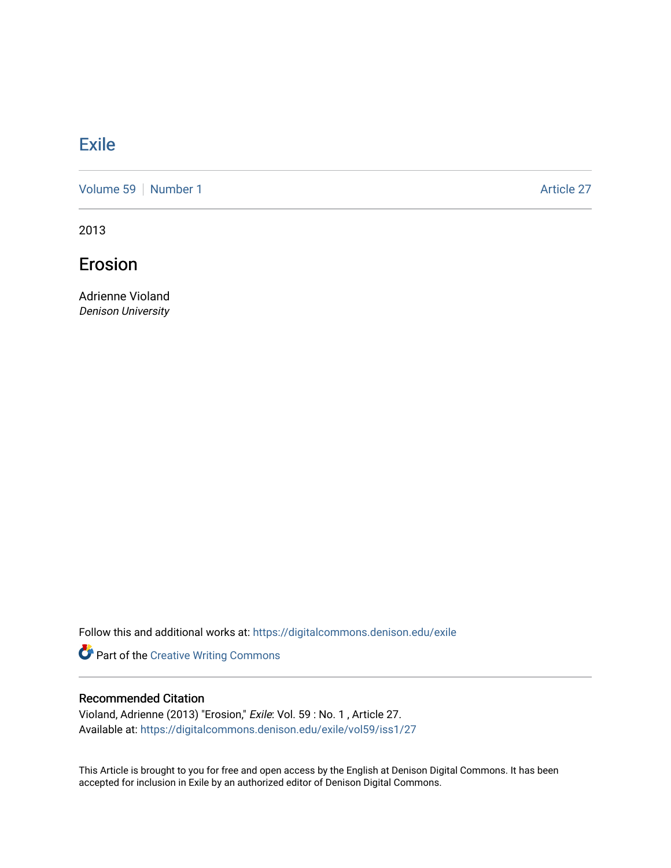## **[Exile](https://digitalcommons.denison.edu/exile)**

[Volume 59](https://digitalcommons.denison.edu/exile/vol59) [Number 1](https://digitalcommons.denison.edu/exile/vol59/iss1) Article 27

2013

Erosion

Adrienne Violand Denison University

Follow this and additional works at: [https://digitalcommons.denison.edu/exile](https://digitalcommons.denison.edu/exile?utm_source=digitalcommons.denison.edu%2Fexile%2Fvol59%2Fiss1%2F27&utm_medium=PDF&utm_campaign=PDFCoverPages) 

Part of the [Creative Writing Commons](http://network.bepress.com/hgg/discipline/574?utm_source=digitalcommons.denison.edu%2Fexile%2Fvol59%2Fiss1%2F27&utm_medium=PDF&utm_campaign=PDFCoverPages) 

## Recommended Citation

Violand, Adrienne (2013) "Erosion," Exile: Vol. 59 : No. 1 , Article 27. Available at: [https://digitalcommons.denison.edu/exile/vol59/iss1/27](https://digitalcommons.denison.edu/exile/vol59/iss1/27?utm_source=digitalcommons.denison.edu%2Fexile%2Fvol59%2Fiss1%2F27&utm_medium=PDF&utm_campaign=PDFCoverPages)

This Article is brought to you for free and open access by the English at Denison Digital Commons. It has been accepted for inclusion in Exile by an authorized editor of Denison Digital Commons.